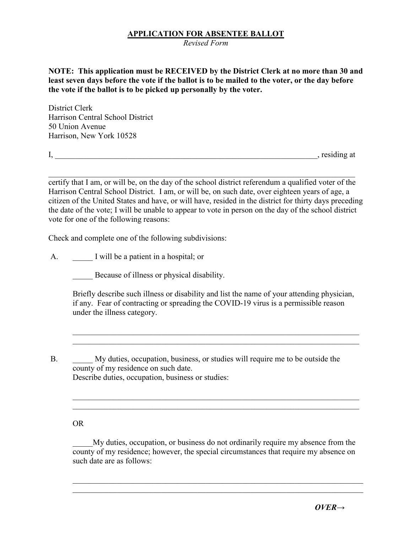## **APPLICATION FOR ABSENTEE BALLOT**

*Revised Form*

**NOTE: This application must be RECEIVED by the District Clerk at no more than 30 and least seven days before the vote if the ballot is to be mailed to the voter, or the day before the vote if the ballot is to be picked up personally by the voter.**

District Clerk Harrison Central School District 50 Union Avenue Harrison, New York 10528

I, \_\_\_\_\_\_\_\_\_\_\_\_\_\_\_\_\_\_\_\_\_\_\_\_\_\_\_\_\_\_\_\_\_\_\_\_\_\_\_\_\_\_\_\_\_\_\_\_\_\_\_\_\_\_\_\_\_\_\_\_\_\_\_\_\_, residing at

\_\_\_\_\_\_\_\_\_\_\_\_\_\_\_\_\_\_\_\_\_\_\_\_\_\_\_\_\_\_\_\_\_\_\_\_\_\_\_\_\_\_\_\_\_\_\_\_\_\_\_\_\_\_\_\_\_\_\_\_\_\_\_\_\_\_\_\_\_\_\_\_\_\_\_\_ certify that I am, or will be, on the day of the school district referendum a qualified voter of the Harrison Central School District. I am, or will be, on such date, over eighteen years of age, a citizen of the United States and have, or will have, resided in the district for thirty days preceding the date of the vote; I will be unable to appear to vote in person on the day of the school district vote for one of the following reasons:

Check and complete one of the following subdivisions:

A. I will be a patient in a hospital; or

Because of illness or physical disability.

Briefly describe such illness or disability and list the name of your attending physician, if any. Fear of contracting or spreading the COVID-19 virus is a permissible reason under the illness category.

\_\_\_\_\_\_\_\_\_\_\_\_\_\_\_\_\_\_\_\_\_\_\_\_\_\_\_\_\_\_\_\_\_\_\_\_\_\_\_\_\_\_\_\_\_\_\_\_\_\_\_\_\_\_\_\_\_\_\_\_\_\_\_\_\_\_\_\_\_\_\_

B. My duties, occupation, business, or studies will require me to be outside the county of my residence on such date.

Describe duties, occupation, business or studies:

## OR

\_\_\_\_\_My duties, occupation, or business do not ordinarily require my absence from the county of my residence; however, the special circumstances that require my absence on such date are as follows:

 $\mathcal{L}_\text{G}$  , and the contribution of the contribution of the contribution of the contribution of the contribution of the contribution of the contribution of the contribution of the contribution of the contribution of t

\_\_\_\_\_\_\_\_\_\_\_\_\_\_\_\_\_\_\_\_\_\_\_\_\_\_\_\_\_\_\_\_\_\_\_\_\_\_\_\_\_\_\_\_\_\_\_\_\_\_\_\_\_\_\_\_\_\_\_\_\_\_\_\_\_\_\_\_\_\_\_